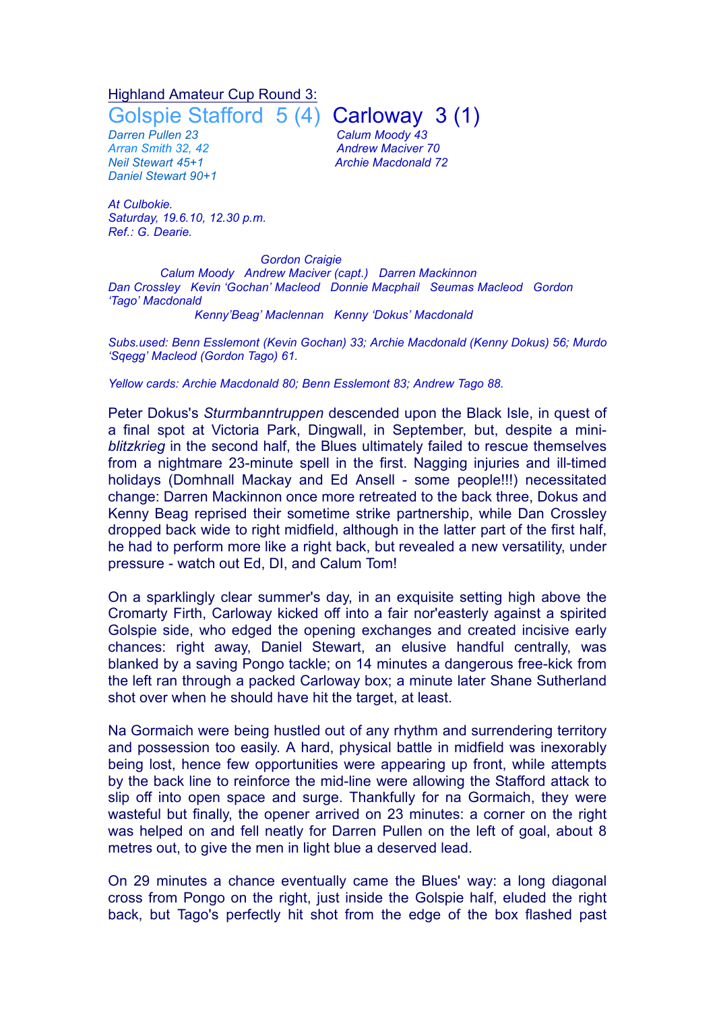## Highland Amateur Cup Round 3:

*Darren Pullen 23 Calum Moody 43 Arran Smith 32, 42 Andrew Maciver 70 Daniel Stewart 90+1*

*At Culbokie. Saturday, 19.6.10, 12.30 p.m. Ref.: G. Dearie.*

Golspie Stafford 5 (4) Carloway 3 (1)

*Neil Stewart 45+1 Archie Macdonald 72*

*Gordon Craigie Calum Moody Andrew Maciver (capt.) Darren Mackinnon Dan Crossley Kevin 'Gochan' Macleod Donnie Macphail Seumas Macleod Gordon 'Tago' Macdonald*

## *Kenny'Beag' Maclennan Kenny 'Dokus' Macdonald*

*Subs.used: Benn Esslemont (Kevin Gochan) 33; Archie Macdonald (Kenny Dokus) 56; Murdo 'Sqegg' Macleod (Gordon Tago) 61.*

*Yellow cards: Archie Macdonald 80; Benn Esslemont 83; Andrew Tago 88.*

Peter Dokus's *Sturmbanntruppen* descended upon the Black Isle, in quest of a final spot at Victoria Park, Dingwall, in September, but, despite a mini*blitzkrieg* in the second half, the Blues ultimately failed to rescue themselves from a nightmare 23-minute spell in the first. Nagging injuries and ill-timed holidays (Domhnall Mackay and Ed Ansell - some people!!!) necessitated change: Darren Mackinnon once more retreated to the back three, Dokus and Kenny Beag reprised their sometime strike partnership, while Dan Crossley dropped back wide to right midfield, although in the latter part of the first half, he had to perform more like a right back, but revealed a new versatility, under pressure - watch out Ed, DI, and Calum Tom!

On a sparklingly clear summer's day, in an exquisite setting high above the Cromarty Firth, Carloway kicked off into a fair nor'easterly against a spirited Golspie side, who edged the opening exchanges and created incisive early chances: right away, Daniel Stewart, an elusive handful centrally, was blanked by a saving Pongo tackle; on 14 minutes a dangerous free-kick from the left ran through a packed Carloway box; a minute later Shane Sutherland shot over when he should have hit the target, at least.

Na Gormaich were being hustled out of any rhythm and surrendering territory and possession too easily. A hard, physical battle in midfield was inexorably being lost, hence few opportunities were appearing up front, while attempts by the back line to reinforce the mid-line were allowing the Stafford attack to slip off into open space and surge. Thankfully for na Gormaich, they were wasteful but finally, the opener arrived on 23 minutes: a corner on the right was helped on and fell neatly for Darren Pullen on the left of goal, about 8 metres out, to give the men in light blue a deserved lead.

On 29 minutes a chance eventually came the Blues' way: a long diagonal cross from Pongo on the right, just inside the Golspie half, eluded the right back, but Tago's perfectly hit shot from the edge of the box flashed past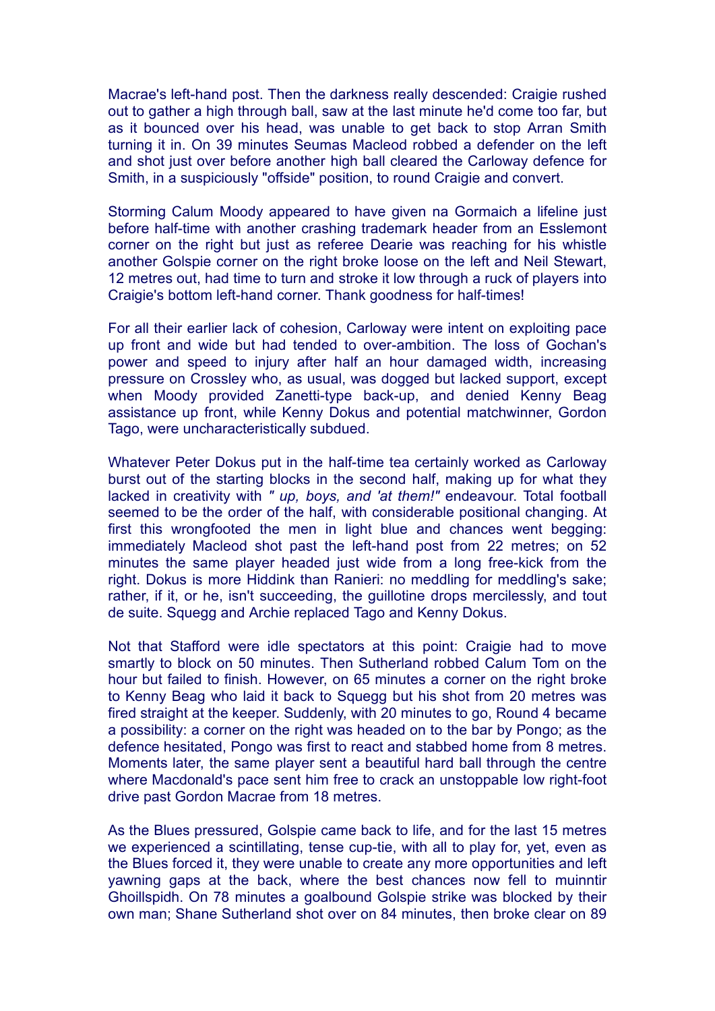Macrae's left-hand post. Then the darkness really descended: Craigie rushed out to gather a high through ball, saw at the last minute he'd come too far, but as it bounced over his head, was unable to get back to stop Arran Smith turning it in. On 39 minutes Seumas Macleod robbed a defender on the left and shot just over before another high ball cleared the Carloway defence for Smith, in a suspiciously "offside" position, to round Craigie and convert.

Storming Calum Moody appeared to have given na Gormaich a lifeline just before half-time with another crashing trademark header from an Esslemont corner on the right but just as referee Dearie was reaching for his whistle another Golspie corner on the right broke loose on the left and Neil Stewart, 12 metres out, had time to turn and stroke it low through a ruck of players into Craigie's bottom left-hand corner. Thank goodness for half-times!

For all their earlier lack of cohesion, Carloway were intent on exploiting pace up front and wide but had tended to over-ambition. The loss of Gochan's power and speed to injury after half an hour damaged width, increasing pressure on Crossley who, as usual, was dogged but lacked support, except when Moody provided Zanetti-type back-up, and denied Kenny Beag assistance up front, while Kenny Dokus and potential matchwinner, Gordon Tago, were uncharacteristically subdued.

Whatever Peter Dokus put in the half-time tea certainly worked as Carloway burst out of the starting blocks in the second half, making up for what they lacked in creativity with *" up, boys, and 'at them!"* endeavour. Total football seemed to be the order of the half, with considerable positional changing. At first this wrongfooted the men in light blue and chances went begging: immediately Macleod shot past the left-hand post from 22 metres; on 52 minutes the same player headed just wide from a long free-kick from the right. Dokus is more Hiddink than Ranieri: no meddling for meddling's sake; rather, if it, or he, isn't succeeding, the guillotine drops mercilessly, and tout de suite. Squegg and Archie replaced Tago and Kenny Dokus.

Not that Stafford were idle spectators at this point: Craigie had to move smartly to block on 50 minutes. Then Sutherland robbed Calum Tom on the hour but failed to finish. However, on 65 minutes a corner on the right broke to Kenny Beag who laid it back to Squegg but his shot from 20 metres was fired straight at the keeper. Suddenly, with 20 minutes to go, Round 4 became a possibility: a corner on the right was headed on to the bar by Pongo; as the defence hesitated, Pongo was first to react and stabbed home from 8 metres. Moments later, the same player sent a beautiful hard ball through the centre where Macdonald's pace sent him free to crack an unstoppable low right-foot drive past Gordon Macrae from 18 metres.

As the Blues pressured, Golspie came back to life, and for the last 15 metres we experienced a scintillating, tense cup-tie, with all to play for, yet, even as the Blues forced it, they were unable to create any more opportunities and left yawning gaps at the back, where the best chances now fell to muinntir Ghoillspidh. On 78 minutes a goalbound Golspie strike was blocked by their own man; Shane Sutherland shot over on 84 minutes, then broke clear on 89